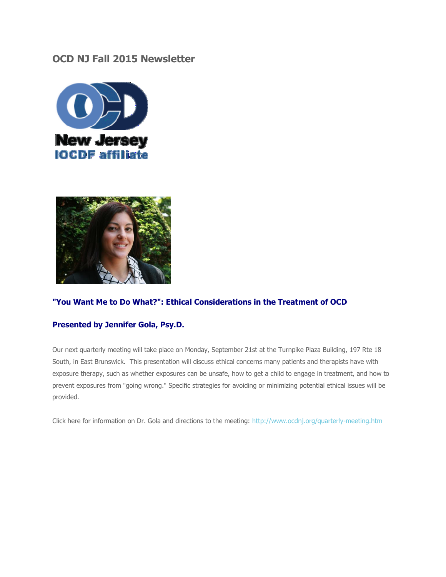### **OCD NJ Fall 2015 Newsletter**





#### **"You Want Me to Do What?": Ethical Considerations in the Treatment of OCD**

#### **Presented by Jennifer Gola, Psy.D.**

Our next quarterly meeting will take place on Monday, September 21st at the Turnpike Plaza Building, 197 Rte 18 South, in East Brunswick. This presentation will discuss ethical concerns many patients and therapists have with exposure therapy, such as whether exposures can be unsafe, how to get a child to engage in treatment, and how to prevent exposures from "going wrong." Specific strategies for avoiding or minimizing potential ethical issues will be provided.

Click here for information on Dr. Gola and directions to the meeting:<http://www.ocdnj.org/quarterly-meeting.htm>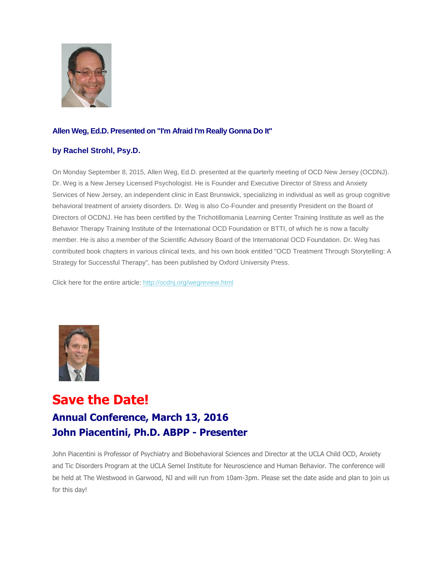

#### **Allen Weg, Ed.D. Presented on "I'm Afraid I'm Really Gonna Do It"**

#### **by Rachel Strohl, Psy.D.**

On Monday September 8, 2015, Allen Weg, Ed.D. presented at the quarterly meeting of OCD New Jersey (OCDNJ). Dr. Weg is a New Jersey Licensed Psychologist. He is Founder and Executive Director of Stress and Anxiety Services of New Jersey, an independent clinic in East Brunswick, specializing in individual as well as group cognitive behavioral treatment of anxiety disorders. Dr. Weg is also Co-Founder and presently President on the Board of Directors of OCDNJ. He has been certified by the Trichotillomania Learning Center Training Institute as well as the Behavior Therapy Training Institute of the International OCD Foundation or BTTI, of which he is now a faculty member. He is also a member of the Scientific Advisory Board of the International OCD Foundation. Dr. Weg has contributed book chapters in various clinical texts, and his own book entitled "OCD Treatment Through Storytelling: A Strategy for Successful Therapy", has been published by Oxford University Press.

Click here for the entire article[: http://ocdnj.org/wegreview.html](http://ocdnj.org/wegreview.html)



# **Save the Date! Annual Conference, March 13, 2016 John Piacentini, Ph.D. ABPP - Presenter**

John Piacentini is Professor of Psychiatry and Biobehavioral Sciences and Director at the UCLA Child OCD, Anxiety and Tic Disorders Program at the UCLA Semel Institute for Neuroscience and Human Behavior. The conference will be held at The Westwood in Garwood, NJ and will run from 10am-3pm. Please set the date aside and plan to join us for this day!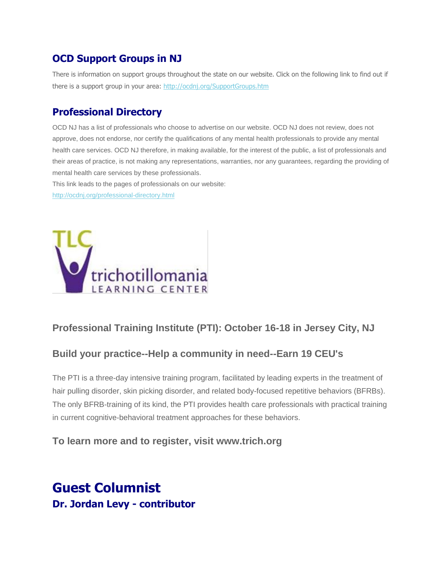## **OCD Support Groups in NJ**

There is information on support groups throughout the state on our website. Click on the following link to find out if there is a support group in your area:<http://ocdnj.org/SupportGroups.htm>

### **Professional Directory**

OCD NJ has a list of professionals who choose to advertise on our website. OCD NJ does not review, does not approve, does not endorse, nor certify the qualifications of any mental health professionals to provide any mental health care services. OCD NJ therefore, in making available, for the interest of the public, a list of professionals and their areas of practice, is not making any representations, warranties, nor any guarantees, regarding the providing of mental health care services by these professionals.

This link leads to the pages of professionals on our website:

<http://ocdnj.org/professional-directory.html>



### **Professional Training Institute (PTI): October 16-18 in Jersey City, NJ**

### **Build your practice--Help a community in need--Earn 19 CEU's**

The PTI is a three-day intensive training program, facilitated by leading experts in the treatment of hair pulling disorder, skin picking disorder, and related body-focused repetitive behaviors (BFRBs). The only BFRB-training of its kind, the PTI provides health care professionals with practical training in current cognitive-behavioral treatment approaches for these behaviors.

### **To learn more and to register, visit www.trich.org**

## **Guest Columnist Dr. Jordan Levy - contributor**